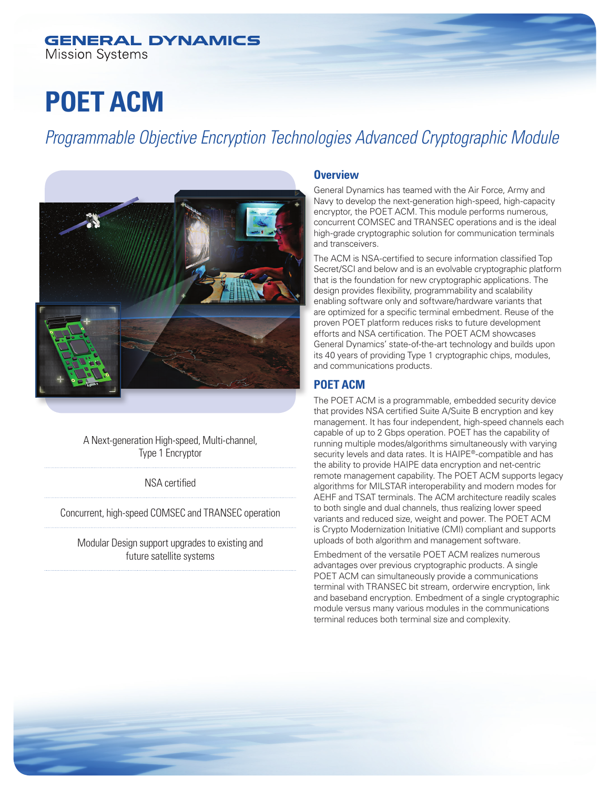#### **GENERAL DYNAMICS Mission Systems**

# **POET ACM**

*Programmable Objective Encryption Technologies Advanced Cryptographic Module*



A Next-generation High-speed, Multi-channel, Type 1 Encryptor

NSA certified

Concurrent, high-speed COMSEC and TRANSEC operation

Modular Design support upgrades to existing and future satellite systems

#### **Overview**

General Dynamics has teamed with the Air Force, Army and Navy to develop the next-generation high-speed, high-capacity encryptor, the POET ACM. This module performs numerous, concurrent COMSEC and TRANSEC operations and is the ideal high-grade cryptographic solution for communication terminals and transceivers.

The ACM is NSA-certified to secure information classified Top Secret/SCI and below and is an evolvable cryptographic platform that is the foundation for new cryptographic applications. The design provides flexibility, programmability and scalability enabling software only and software/hardware variants that are optimized for a specific terminal embedment. Reuse of the proven POET platform reduces risks to future development efforts and NSA certification. The POET ACM showcases General Dynamics' state-of-the-art technology and builds upon its 40 years of providing Type 1 cryptographic chips, modules, and communications products.

### **POET ACM**

The POET ACM is a programmable, embedded security device that provides NSA certified Suite A/Suite B encryption and key management. It has four independent, high-speed channels each capable of up to 2 Gbps operation. POET has the capability of running multiple modes/algorithms simultaneously with varying security levels and data rates. It is HAIPE®-compatible and has the ability to provide HAIPE data encryption and net-centric remote management capability. The POET ACM supports legacy algorithms for MILSTAR interoperability and modern modes for AEHF and TSAT terminals. The ACM architecture readily scales to both single and dual channels, thus realizing lower speed variants and reduced size, weight and power. The POET ACM is Crypto Modernization Initiative (CMI) compliant and supports uploads of both algorithm and management software.

Embedment of the versatile POET ACM realizes numerous advantages over previous cryptographic products. A single POET ACM can simultaneously provide a communications terminal with TRANSEC bit stream, orderwire encryption, link and baseband encryption. Embedment of a single cryptographic module versus many various modules in the communications terminal reduces both terminal size and complexity.